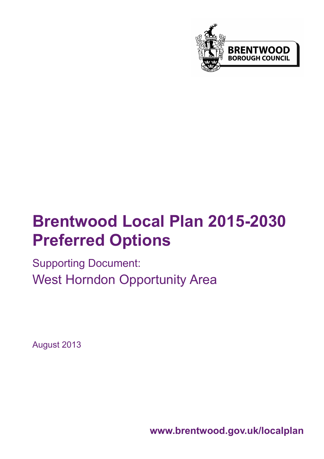

# **Brentwood Local Plan 2015-2030 Preferred Options**

Supporting Document: West Horndon Opportunity Area

August 2013

**www.brentwood.gov.uk/localplan**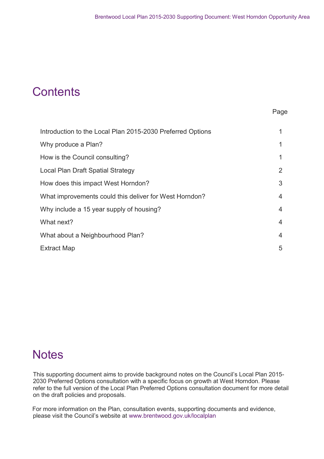# **Contents**

#### e de la provincia de la provincia de la provincia de la provincia de la provincia de la provincia de la provinc

| Introduction to the Local Plan 2015-2030 Preferred Options | 1              |
|------------------------------------------------------------|----------------|
| Why produce a Plan?                                        | 1              |
| How is the Council consulting?                             | 1              |
| Local Plan Draft Spatial Strategy                          | 2              |
| How does this impact West Horndon?                         | 3              |
| What improvements could this deliver for West Horndon?     | $\overline{4}$ |
| Why include a 15 year supply of housing?                   | $\overline{4}$ |
| What next?                                                 | 4              |
| What about a Neighbourhood Plan?                           | $\overline{4}$ |
| <b>Extract Map</b>                                         | 5              |

## **Notes**

This supporting document aims to provide background notes on the Council's Local Plan 2015- 2030 Preferred Options consultation with a specific focus on growth at West Horndon. Please refer to the full version of the Local Plan Preferred Options consultation document for more detail on the draft policies and proposals.

For more information on the Plan, consultation events, supporting documents and evidence, please visit the Council's website at www.brentwood.gov.uk/localplan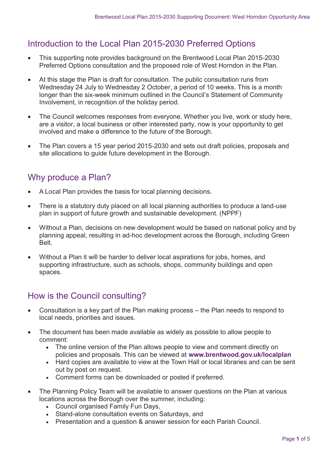#### Introduction to the Local Plan 2015-2030 Preferred Options

- This supporting note provides background on the Brentwood Local Plan 2015-2030 Preferred Options consultation and the proposed role of West Horndon in the Plan.
- At this stage the Plan is draft for consultation. The public consultation runs from Wednesday 24 July to Wednesday 2 October, a period of 10 weeks. This is a month longer than the six-week minimum outlined in the Council's Statement of Community Involvement, in recognition of the holiday period.
- The Council welcomes responses from everyone. Whether you live, work or study here, are a visitor, a local business or other interested party, now is your opportunity to get involved and make a difference to the future of the Borough.
- The Plan covers a 15 year period 2015-2030 and sets out draft policies, proposals and site allocations to guide future development in the Borough.

#### Why produce a Plan?

- A Local Plan provides the basis for local planning decisions.
- There is a statutory duty placed on all local planning authorities to produce a land-use plan in support of future growth and sustainable development. (NPPF)
- Without a Plan, decisions on new development would be based on national policy and by planning appeal, resulting in ad-hoc development across the Borough, including Green Belt.
- Without a Plan it will be harder to deliver local aspirations for jobs, homes, and supporting infrastructure, such as schools, shops, community buildings and open spaces.

#### How is the Council consulting?

- Consultation is a key part of the Plan making process the Plan needs to respond to local needs, priorities and issues.
- The document has been made available as widely as possible to allow people to comment:
	- The online version of the Plan allows people to view and comment directly on policies and proposals. This can be viewed at **www.brentwood.gov.uk/localplan**
	- Hard copies are available to view at the Town Hall or local libraries and can be sent out by post on request.
	- Comment forms can be downloaded or posted if preferred.
- The Planning Policy Team will be available to answer questions on the Plan at various locations across the Borough over the summer, including:
	- Council organised Family Fun Days,
	- Stand-alone consultation events on Saturdays, and
	- Presentation and a question & answer session for each Parish Council.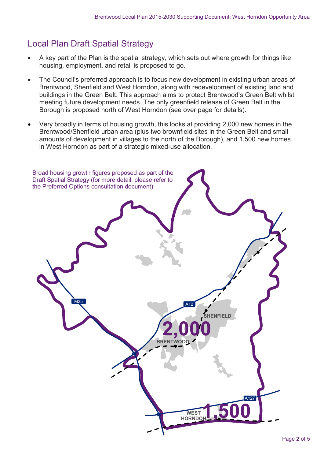#### Local Plan Draft Spatial Strategy

- A key part of the Plan is the spatial strategy, which sets out where growth for things like housing, employment, and retail is proposed to go.
- The Council's preferred approach is to focus new development in existing urban areas of Brentwood, Shenfield and West Horndon, along with redevelopment of existing land and buildings in the Green Belt. This approach aims to protect Brentwood's Green Belt whilst meeting future development needs. The only greenfield release of Green Belt in the Borough is proposed north of West Horndon (see over page for details).
- Very broadly in terms of housing growth, this looks at providing 2,000 new homes in the Brentwood/Shenfield urban area (plus two brownfield sites in the Green Belt and small amounts of development in villages to the north of the Borough), and 1,500 new homes in West Horndon as part of a strategic mixed-use allocation.

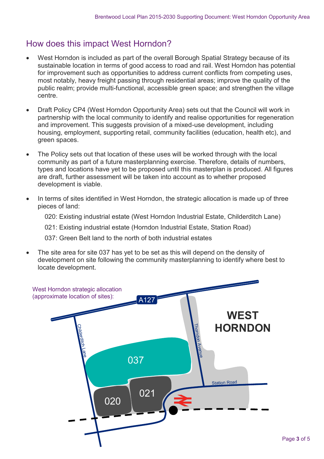#### How does this impact West Horndon?

- West Horndon is included as part of the overall Borough Spatial Strategy because of its sustainable location in terms of good access to road and rail. West Horndon has potential for improvement such as opportunities to address current conflicts from competing uses, most notably, heavy freight passing through residential areas; improve the quality of the public realm; provide multi-functional, accessible green space; and strengthen the village centre.
- Draft Policy CP4 (West Horndon Opportunity Area) sets out that the Council will work in partnership with the local community to identify and realise opportunities for regeneration and improvement. This suggests provision of a mixed-use development, including housing, employment, supporting retail, community facilities (education, health etc), and green spaces.
- The Policy sets out that location of these uses will be worked through with the local community as part of a future masterplanning exercise. Therefore, details of numbers, types and locations have yet to be proposed until this masterplan is produced. All figures are draft, further assessment will be taken into account as to whether proposed development is viable.
- In terms of sites identified in West Horndon, the strategic allocation is made up of three pieces of land:

020: Existing industrial estate (West Horndon Industrial Estate, Childerditch Lane)

021: Existing industrial estate (Horndon Industrial Estate, Station Road)

037: Green Belt land to the north of both industrial estates

 The site area for site 037 has yet to be set as this will depend on the density of development on site following the community masterplanning to identify where best to locate development.

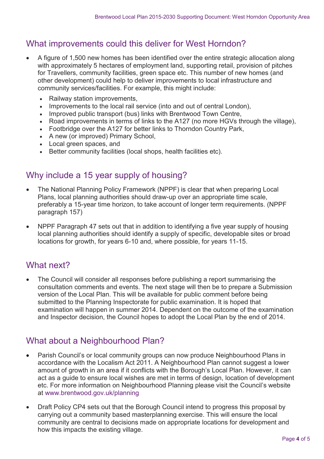#### What improvements could this deliver for West Horndon?

- A figure of 1,500 new homes has been identified over the entire strategic allocation along with approximately 5 hectares of employment land, supporting retail, provision of pitches for Travellers, community facilities, green space etc. This number of new homes (and other development) could help to deliver improvements to local infrastructure and community services/facilities. For example, this might include:
	- Railway station improvements,
	- Improvements to the local rail service (into and out of central London),
	- Improved public transport (bus) links with Brentwood Town Centre,
	- Road improvements in terms of links to the A127 (no more HGVs through the village),
	- Footbridge over the A127 for better links to Thorndon Country Park,
	- A new (or improved) Primary School,
	- Local green spaces, and
	- Better community facilities (local shops, health facilities etc).

#### Why include a 15 year supply of housing?

- The National Planning Policy Framework (NPPF) is clear that when preparing Local Plans, local planning authorities should draw-up over an appropriate time scale, preferably a 15-year time horizon, to take account of longer term requirements. (NPPF paragraph 157)
- NPPF Paragraph 47 sets out that in addition to identifying a five year supply of housing local planning authorities should identify a supply of specific, developable sites or broad locations for growth, for years 6-10 and, where possible, for years 11-15.

#### What next?

 The Council will consider all responses before publishing a report summarising the consultation comments and events. The next stage will then be to prepare a Submission version of the Local Plan. This will be available for public comment before being submitted to the Planning Inspectorate for public examination. It is hoped that examination will happen in summer 2014. Dependent on the outcome of the examination and Inspector decision, the Council hopes to adopt the Local Plan by the end of 2014.

#### What about a Neighbourhood Plan?

- Parish Council's or local community groups can now produce Neighbourhood Plans in accordance with the Localism Act 2011. A Neighbourhood Plan cannot suggest a lower amount of growth in an area if it conflicts with the Borough's Local Plan. However, it can act as a guide to ensure local wishes are met in terms of design, location of development etc. For more information on Neighbourhood Planning please visit the Council's website at www.brentwood.gov.uk/planning
- Draft Policy CP4 sets out that the Borough Council intend to progress this proposal by carrying out a community based masterplanning exercise. This will ensure the local community are central to decisions made on appropriate locations for development and how this impacts the existing village.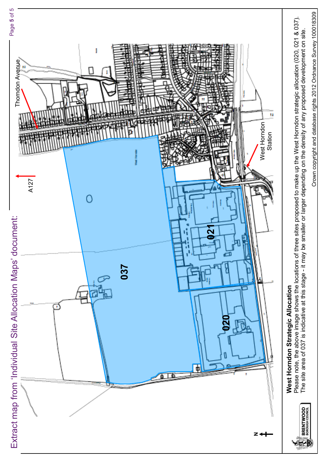

Crown copyright and database rights 2012 Ordnance Survey 100018309 Crown copyright and database rights 2012 Ordnance Survey 100018309